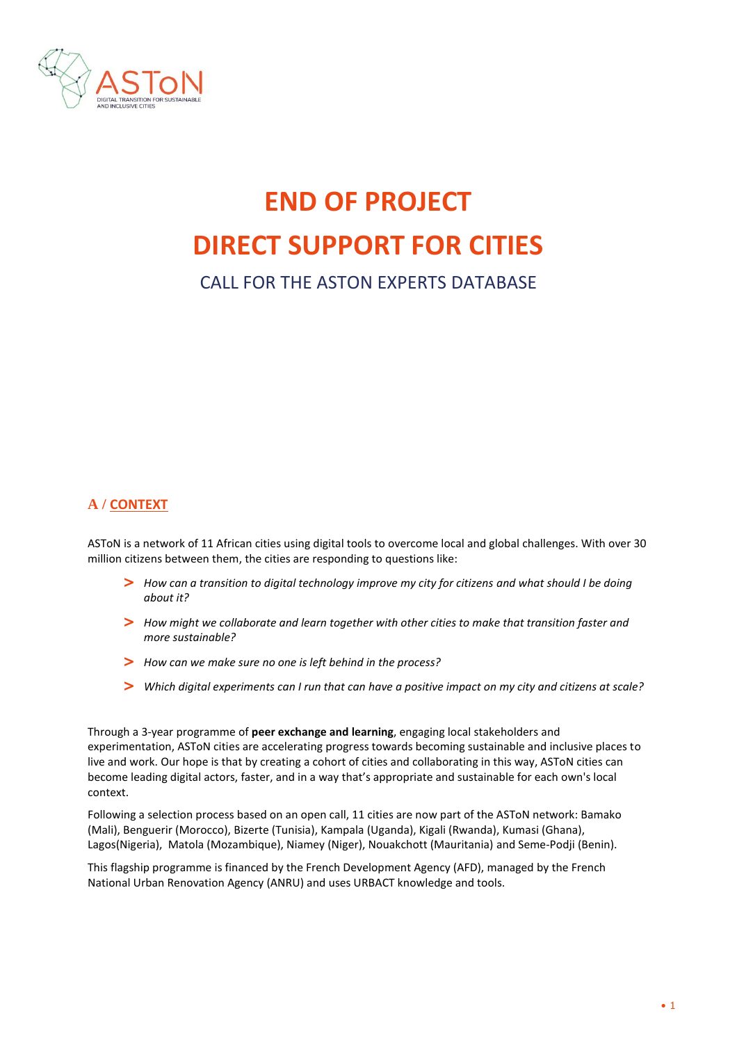

# **END OF PROJECT DIRECT SUPPORT FOR CITIES**

# CALL FOR THE ASTON EXPERTS DATABASE

# **A / CONTEXT**

ASToN is a network of 11 African cities using digital tools to overcome local and global challenges. With over 30 million citizens between them, the cities are responding to questions like:

- **>** *How can a transition to digital technology improve my city for citizens and what should I be doing about it?*
- **>** *How might we collaborate and learn together with other cities to make that transition faster and more sustainable?*
- **>** *How can we make sure no one is left behind in the process?*
- **>** *Which digital experiments can I run that can have a positive impact on my city and citizens at scale?*

Through a 3-year programme of **peer exchange and learning**, engaging local stakeholders and experimentation, ASToN cities are accelerating progress towards becoming sustainable and inclusive places to live and work. Our hope is that by creating a cohort of cities and collaborating in this way, ASToN cities can become leading digital actors, faster, and in a way that's appropriate and sustainable for each own's local context.

Following a selection process based on an open call, 11 cities are now part of the ASToN network: Bamako (Mali), Benguerir (Morocco), Bizerte (Tunisia), Kampala (Uganda), Kigali (Rwanda), Kumasi (Ghana), Lagos(Nigeria), Matola (Mozambique), Niamey (Niger), Nouakchott (Mauritania) and Seme-Podji (Benin).

This flagship programme is financed by the French Development Agency (AFD), managed by the French National Urban Renovation Agency (ANRU) and uses URBACT knowledge and tools.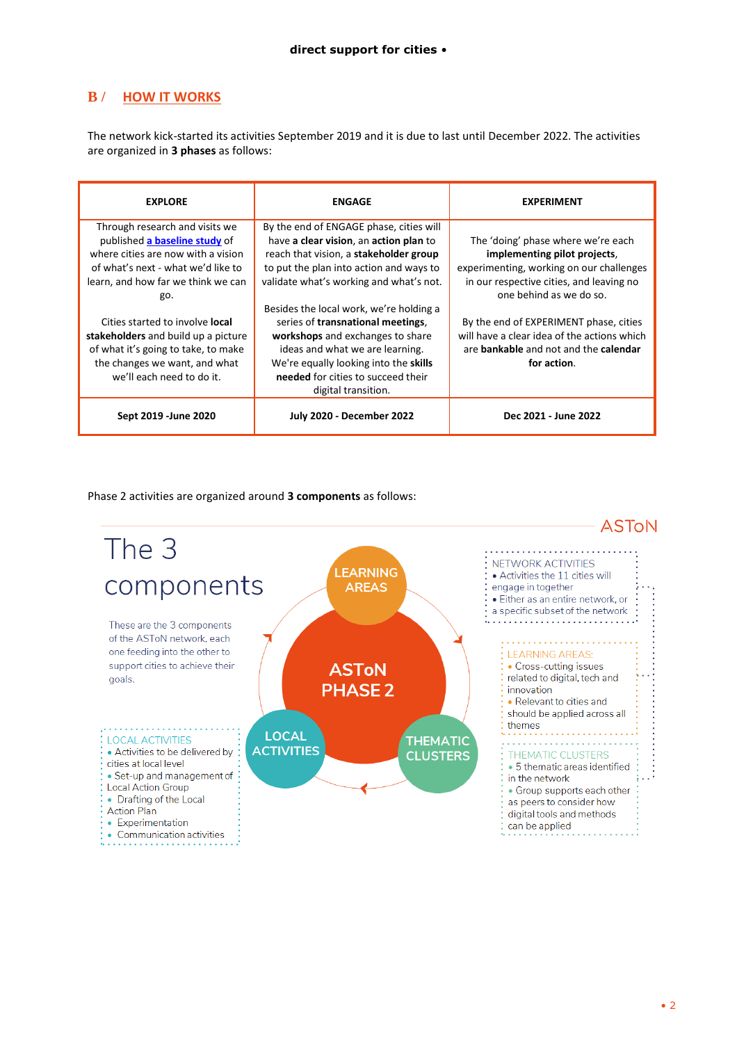## **B / HOW IT WORKS**

The network kick-started its activities September 2019 and it is due to last until December 2022. The activities are organized in **3 phases** as follows:

| <b>EXPLORE</b>                                                                                                                                                                           | <b>ENGAGE</b>                                                                                                                                                                                                                                                | <b>EXPERIMENT</b>                                                                                                                                                                     |
|------------------------------------------------------------------------------------------------------------------------------------------------------------------------------------------|--------------------------------------------------------------------------------------------------------------------------------------------------------------------------------------------------------------------------------------------------------------|---------------------------------------------------------------------------------------------------------------------------------------------------------------------------------------|
| Through research and visits we<br>published a baseline study of<br>where cities are now with a vision<br>of what's next - what we'd like to<br>learn, and how far we think we can<br>go. | By the end of ENGAGE phase, cities will<br>have a clear vision, an action plan to<br>reach that vision, a stakeholder group<br>to put the plan into action and ways to<br>validate what's working and what's not.<br>Besides the local work, we're holding a | The 'doing' phase where we're each<br>implementing pilot projects,<br>experimenting, working on our challenges<br>in our respective cities, and leaving no<br>one behind as we do so. |
| Cities started to involve <b>local</b><br>stakeholders and build up a picture<br>of what it's going to take, to make<br>the changes we want, and what<br>we'll each need to do it.       | series of transnational meetings,<br>workshops and exchanges to share<br>ideas and what we are learning.<br>We're equally looking into the skills<br>needed for cities to succeed their<br>digital transition.                                               | By the end of EXPERIMENT phase, cities<br>will have a clear idea of the actions which<br>are <b>bankable</b> and not and the <b>calendar</b><br>for action.                           |
| Sept 2019 - June 2020                                                                                                                                                                    | <b>July 2020 - December 2022</b>                                                                                                                                                                                                                             | Dec 2021 - June 2022                                                                                                                                                                  |

Phase 2 activities are organized around **3 components** as follows:

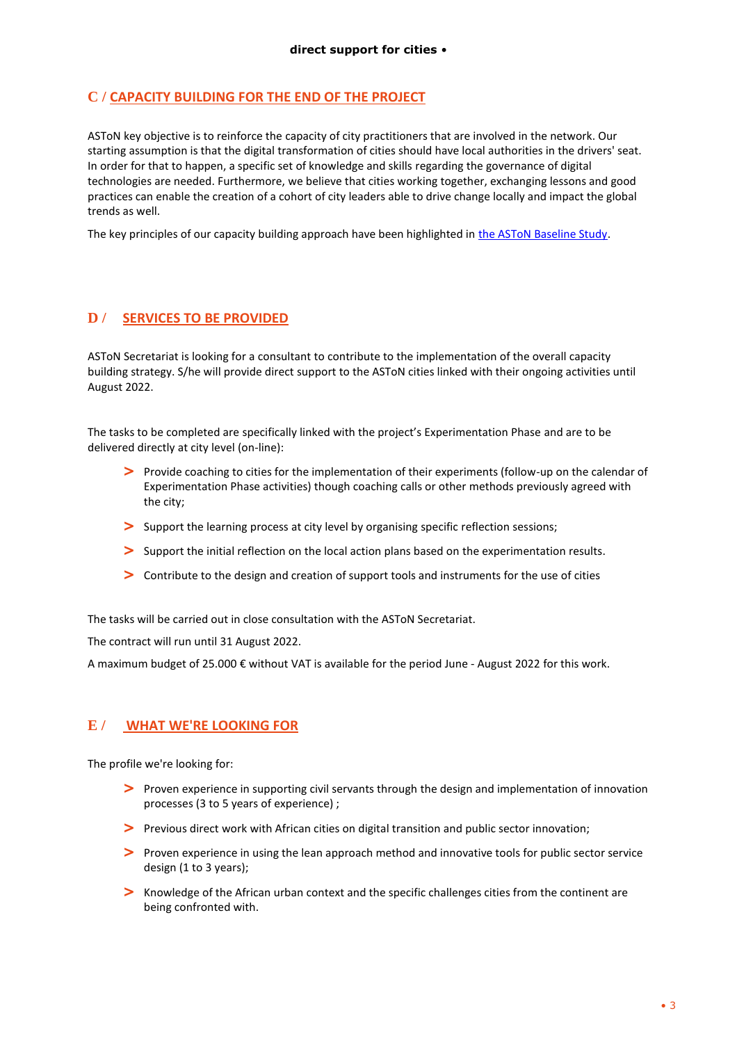#### **C / CAPACITY BUILDING FOR THE END OF THE PROJECT**

ASToN key objective is to reinforce the capacity of city practitioners that are involved in the network. Our starting assumption is that the digital transformation of cities should have local authorities in the drivers' seat. In order for that to happen, a specific set of knowledge and skills regarding the governance of digital technologies are needed. Furthermore, we believe that cities working together, exchanging lessons and good practices can enable the creation of a cohort of city leaders able to drive change locally and impact the global trends as well.

The key principles of our capacity building approach have been highlighted in [the ASToN Baseline Study.](https://aston-network.org/wp-content/uploads/2021/05/Aston-BaselineStudy-VA-210430-JB.pdf)

#### **D / SERVICES TO BE PROVIDED**

ASToN Secretariat is looking for a consultant to contribute to the implementation of the overall capacity building strategy. S/he will provide direct support to the ASToN cities linked with their ongoing activities until August 2022.

The tasks to be completed are specifically linked with the project's Experimentation Phase and are to be delivered directly at city level (on-line):

- **>** Provide coaching to cities for the implementation of their experiments (follow-up on the calendar of Experimentation Phase activities) though coaching calls or other methods previously agreed with the city;
- **>** Support the learning process at city level by organising specific reflection sessions;
- **>** Support the initial reflection on the local action plans based on the experimentation results.
- **>** Contribute to the design and creation of support tools and instruments for the use of cities

The tasks will be carried out in close consultation with the ASToN Secretariat.

The contract will run until 31 August 2022.

A maximum budget of 25.000 € without VAT is available for the period June - August 2022 for this work.

#### **E / WHAT WE'RE LOOKING FOR**

The profile we're looking for:

- **>** Proven experience in supporting civil servants through the design and implementation of innovation processes (3 to 5 years of experience) ;
- **>** Previous direct work with African cities on digital transition and public sector innovation;
- **>** Proven experience in using the lean approach method and innovative tools for public sector service design (1 to 3 years);
- **>** Knowledge of the African urban context and the specific challenges cities from the continent are being confronted with.